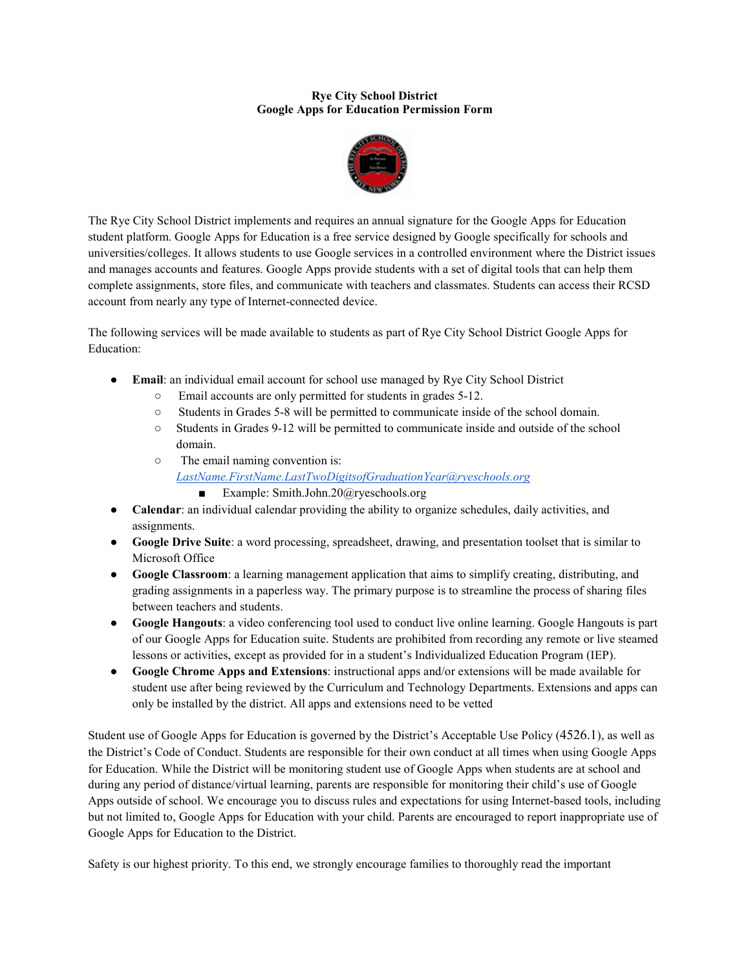#### **Rye City School District Google Apps for Education Permission Form**



The Rye City School District implements and requires an annual signature for the Google Apps for Education student platform. Google Apps for Education is a free service designed by Google specifically for schools and universities/colleges. It allows students to use Google services in a controlled environment where the District issues and manages accounts and features. Google Apps provide students with a set of digital tools that can help them complete assignments, store files, and communicate with teachers and classmates. Students can access their RCSD account from nearly any type of Internet-connected device.

The following services will be made available to students as part of Rye City School District Google Apps for Education:

- **Email**: an individual email account for school use managed by Rye City School District
	- Email accounts are only permitted for students in grades 5-12.
	- Students in Grades 5-8 will be permitted to communicate inside of the school domain.
	- Students in Grades 9-12 will be permitted to communicate inside and outside of the school domain.
	- The email naming convention is:
		- *[LastName.FirstName.LastTwoDigitsofGraduationYear@ryeschools.org](mailto:LastName.FirstName.LastTwoDigitsofGraduationYear@ryeschools.org)*
			- Example: Smith.John.20@ryeschools.org
- **Calendar**: an individual calendar providing the ability to organize schedules, daily activities, and assignments.
- **Google Drive Suite**: a word processing, spreadsheet, drawing, and presentation toolset that is similar to Microsoft Office
- **Google Classroom**: a learning management application that aims to simplify creating, distributing, and grading assignments in a paperless way. The primary purpose is to streamline the process of sharing files between teachers and students.
- **Google Hangouts**: a video conferencing tool used to conduct live online learning. Google Hangouts is part of our Google Apps for Education suite. Students are prohibited from recording any remote or live steamed lessons or activities, except as provided for in a student's Individualized Education Program (IEP).
- **Google Chrome Apps and Extensions**: instructional apps and/or extensions will be made available for student use after being reviewed by the Curriculum and Technology Departments. Extensions and apps can only be installed by the district. All apps and extensions need to be vetted

Student use of Google Apps for Education is governed by the District's Acceptable Use Policy (4526.1), as well as the District's Code of Conduct. Students are responsible for their own conduct at all times when using Google Apps for Education. While the District will be monitoring student use of Google Apps when students are at school and during any period of distance/virtual learning, parents are responsible for monitoring their child's use of Google Apps outside of school. We encourage you to discuss rules and expectations for using Internet-based tools, including but not limited to, Google Apps for Education with your child. Parents are encouraged to report inappropriate use of Google Apps for Education to the District.

Safety is our highest priority. To this end, we strongly encourage families to thoroughly read the important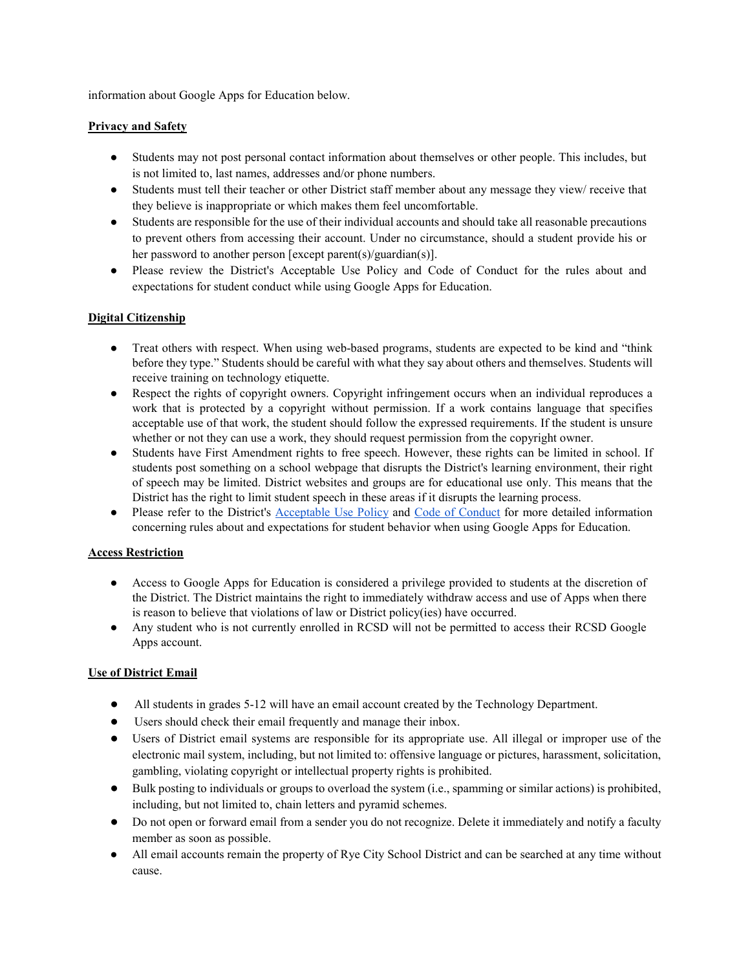information about Google Apps for Education below.

#### **Privacy and Safety**

- Students may not post personal contact information about themselves or other people. This includes, but is not limited to, last names, addresses and/or phone numbers.
- Students must tell their teacher or other District staff member about any message they view/ receive that they believe is inappropriate or which makes them feel uncomfortable.
- Students are responsible for the use of their individual accounts and should take all reasonable precautions to prevent others from accessing their account. Under no circumstance, should a student provide his or her password to another person [except parent(s)/guardian(s)].
- Please review the District's Acceptable Use Policy and Code of Conduct for the rules about and expectations for student conduct while using Google Apps for Education.

# **Digital Citizenship**

- Treat others with respect. When using web-based programs, students are expected to be kind and "think" before they type." Students should be careful with what they say about others and themselves. Students will receive training on technology etiquette.
- Respect the rights of copyright owners. Copyright infringement occurs when an individual reproduces a work that is protected by a copyright without permission. If a work contains language that specifies acceptable use of that work, the student should follow the expressed requirements. If the student is unsure whether or not they can use a work, they should request permission from the copyright owner.
- Students have First Amendment rights to free speech. However, these rights can be limited in school. If students post something on a school webpage that disrupts the District's learning environment, their right of speech may be limited. District websites and groups are for educational use only. This means that the District has the right to limit student speech in these areas if it disrupts the learning process.
- Plea[s](http://go.boarddocs.com/ny/ryecsd/Board.nsf/goto?open&id=BD9KSZ52BF11)e refer to the District's [Acceptable Use Policy](http://go.boarddocs.com/ny/ryecsd/Board.nsf/goto?open&id=BD9KSZ52BF11) and [Code of Conduct](http://go.boarddocs.com/ny/ryecsd/Board.nsf/goto?open&id=AMGRU76FA566) for more detailed information concerning rules about and expectations for student behavior when using Google Apps for Education.

# **Access Restriction**

- Access to Google Apps for Education is considered a privilege provided to students at the discretion of the District. The District maintains the right to immediately withdraw access and use of Apps when there is reason to believe that violations of law or District policy(ies) have occurred.
- Any student who is not currently enrolled in RCSD will not be permitted to access their RCSD Google Apps account.

# **Use of District Email**

- All students in grades 5-12 will have an email account created by the Technology Department.
- Users should check their email frequently and manage their inbox.
- Users of District email systems are responsible for its appropriate use. All illegal or improper use of the electronic mail system, including, but not limited to: offensive language or pictures, harassment, solicitation, gambling, violating copyright or intellectual property rights is prohibited.
- Bulk posting to individuals or groups to overload the system (i.e., spamming or similar actions) is prohibited, including, but not limited to, chain letters and pyramid schemes.
- Do not open or forward email from a sender you do not recognize. Delete it immediately and notify a faculty member as soon as possible.
- All email accounts remain the property of Rye City School District and can be searched at any time without cause.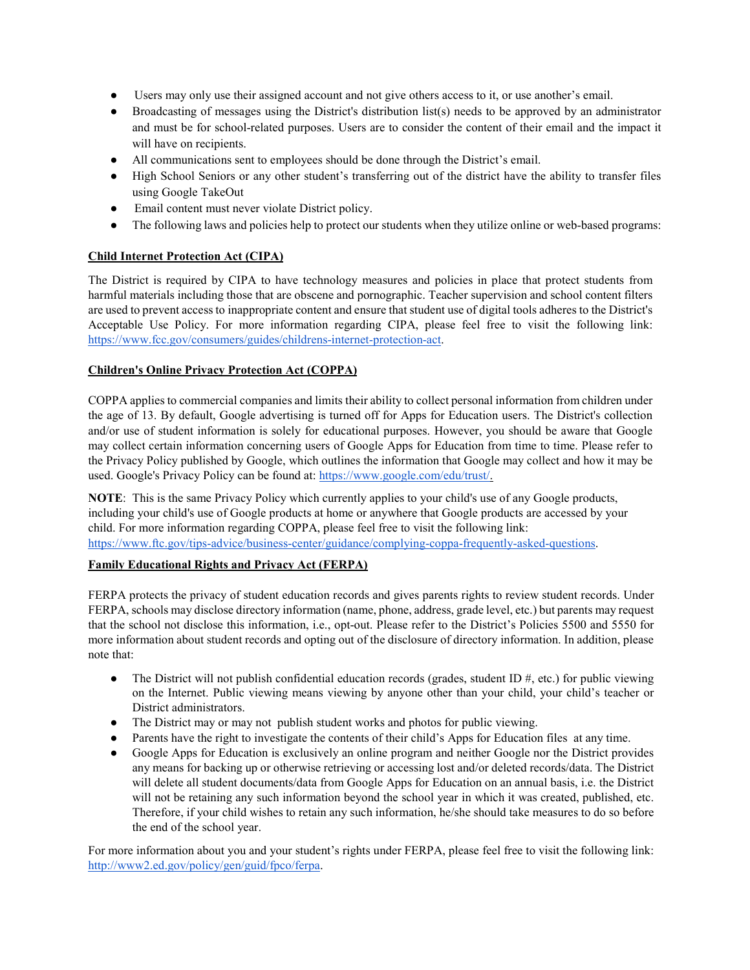- Users may only use their assigned account and not give others access to it, or use another's email.
- Broadcasting of messages using the District's distribution list(s) needs to be approved by an administrator and must be for school-related purposes. Users are to consider the content of their email and the impact it will have on recipients.
- All communications sent to employees should be done through the District's email.
- High School Seniors or any other student's transferring out of the district have the ability to transfer files using Google TakeOut
- Email content must never violate District policy.
- The following laws and policies help to protect our students when they utilize online or web-based programs:

### **Child Internet Protection Act (CIPA)**

The District is required by CIPA to have technology measures and policies in place that protect students from harmful materials including those that are obscene and pornographic. Teacher supervision and school content filters are used to prevent access to inappropriate content and ensure that student use of digital tools adheres to the District's Acceptable Use Policy. For more information regarding CIPA, please feel free to visit the following link[:](https://www.fcc.gov/consumers/guides/childrens-internet-protection-act) [https://www.fcc.gov/consumers/guides/childrens-internet-protection-act.](https://www.fcc.gov/consumers/guides/childrens-internet-protection-act)

### **Children's Online Privacy Protection Act (COPPA)**

COPPA applies to commercial companies and limits their ability to collect personal information from children under the age of 13. By default, Google advertising is turned off for Apps for Education users. The District's collection and/or use of student information is solely for educational purposes. However, you should be aware that Google may collect certain information concerning users of Google Apps for Education from time to time. Please refer to the Privacy Policy published by Google, which outlines the information that Google may collect and how it may be used. Google's Privacy Policy can be found at: [https://www.google.com/edu/trust/.](https://www.google.com/edu/trust/)

**NOTE**: This is the same Privacy Policy which currently applies to your child's use of any Google products, including your child's use of Google products at home or anywhere that Google products are accessed by your child. For more information regarding COPPA, please feel free to visit the following link[:](https://www.ftc.gov/tips-advice/business-center/guidance/complying-coppa-frequently-asked-questions) [https://www.ftc.gov/tips-advice/business-center/guidance/complying-coppa-frequently-asked-questions.](https://www.ftc.gov/tips-advice/business-center/guidance/complying-coppa-frequently-asked-questions)

#### **Family Educational Rights and Privacy Act (FERPA)**

FERPA protects the privacy of student education records and gives parents rights to review student records. Under FERPA, schools may disclose directory information (name, phone, address, grade level, etc.) but parents may request that the school not disclose this information, i.e., opt-out. Please refer to the District's Policies 5500 and 5550 for more information about student records and opting out of the disclosure of directory information. In addition, please note that:

- The District will not publish confidential education records (grades, student ID  $#$ , etc.) for public viewing on the Internet. Public viewing means viewing by anyone other than your child, your child's teacher or District administrators.
- The District may or may not publish student works and photos for public viewing.
- Parents have the right to investigate the contents of their child's Apps for Education files at any time.
- Google Apps for Education is exclusively an online program and neither Google nor the District provides any means for backing up or otherwise retrieving or accessing lost and/or deleted records/data. The District will delete all student documents/data from Google Apps for Education on an annual basis, i.e. the District will not be retaining any such information beyond the school year in which it was created, published, etc. Therefore, if your child wishes to retain any such information, he/she should take measures to do so before the end of the school year.

For more information about you and your student's rights under FERPA, please feel free to visit the following link[:](http://www2.ed.gov/policy/gen/guid/fpco/ferpa) [http://www2.ed.gov/policy/gen/guid/fpco/ferpa.](http://www2.ed.gov/policy/gen/guid/fpco/ferpa)